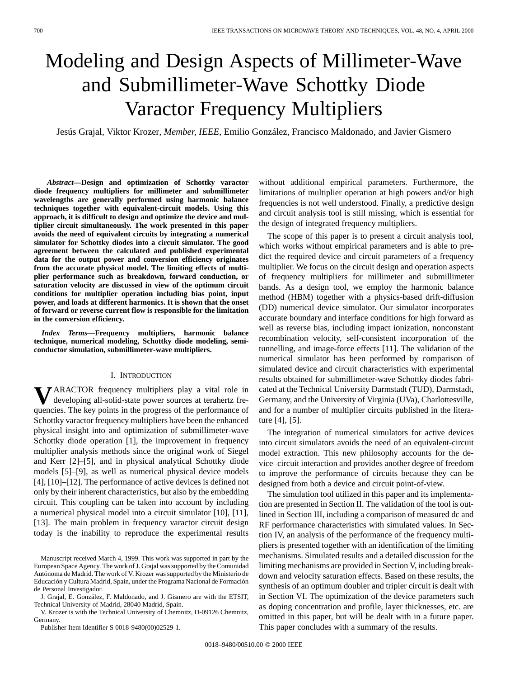# Modeling and Design Aspects of Millimeter-Wave and Submillimeter-Wave Schottky Diode Varactor Frequency Multipliers

Jesús Grajal, Viktor Krozer*, Member, IEEE*, Emilio González, Francisco Maldonado, and Javier Gismero

*Abstract—***Design and optimization of Schottky varactor diode frequency multipliers for millimeter and submillimeter wavelengths are generally performed using harmonic balance techniques together with equivalent-circuit models. Using this approach, it is difficult to design and optimize the device and multiplier circuit simultaneously. The work presented in this paper avoids the need of equivalent circuits by integrating a numerical simulator for Schottky diodes into a circuit simulator. The good agreement between the calculated and published experimental data for the output power and conversion efficiency originates from the accurate physical model. The limiting effects of multiplier performance such as breakdown, forward conduction, or saturation velocity are discussed in view of the optimum circuit conditions for multiplier operation including bias point, input power, and loads at different harmonics. It is shown that the onset of forward or reverse current flow is responsible for the limitation in the conversion efficiency.**

*Index Terms—***Frequency multipliers, harmonic balance technique, numerical modeling, Schottky diode modeling, semiconductor simulation, submillimeter-wave multipliers.**

## I. INTRODUCTION

**V**ARACTOR frequency multipliers play a vital role in developing all-solid-state power sources at terahertz frequencies. The key points in the progress of the performance of Schottky varactor frequency multipliers have been the enhanced physical insight into and optimization of submillimeter-wave Schottky diode operation [[1\]](#page-10-0), the improvement in frequency multiplier analysis methods since the original work of Siegel and Kerr [\[2](#page-10-0)]–[\[5](#page-10-0)], and in physical analytical Schottky diode models [\[5](#page-10-0)]–[\[9](#page-10-0)], as well as numerical physical device models [[4\]](#page-10-0), [\[10](#page-10-0)]–[[12\]](#page-10-0). The performance of active devices is defined not only by their inherent characteristics, but also by the embedding circuit. This coupling can be taken into account by including a numerical physical model into a circuit simulator [[10\]](#page-10-0), [[11\]](#page-10-0), [[13\]](#page-10-0). The main problem in frequency varactor circuit design today is the inability to reproduce the experimental results

V. Krozer is with the Technical University of Chemnitz, D-09126 Chemnitz, Germany.

Publisher Item Identifier S 0018-9480(00)02529-1.

without additional empirical parameters. Furthermore, the limitations of multiplier operation at high powers and/or high frequencies is not well understood. Finally, a predictive design and circuit analysis tool is still missing, which is essential for the design of integrated frequency multipliers.

The scope of this paper is to present a circuit analysis tool, which works without empirical parameters and is able to predict the required device and circuit parameters of a frequency multiplier. We focus on the circuit design and operation aspects of frequency multipliers for millimeter and submillimeter bands. As a design tool, we employ the harmonic balance method (HBM) together with a physics-based drift-diffusion (DD) numerical device simulator. Our simulator incorporates accurate boundary and interface conditions for high forward as well as reverse bias, including impact ionization, nonconstant recombination velocity, self-consistent incorporation of the tunnelling, and image-force effects [\[11\]](#page-10-0). The validation of the numerical simulator has been performed by comparison of simulated device and circuit characteristics with experimental results obtained for submillimeter-wave Schottky diodes fabricated at the Technical University Darmstadt (TUD), Darmstadt, Germany, and the University of Virginia (UVa), Charlottesville, and for a number of multiplier circuits published in the literature [\[4](#page-10-0)], [[5\]](#page-10-0).

The integration of numerical simulators for active devices into circuit simulators avoids the need of an equivalent-circuit model extraction. This new philosophy accounts for the device–circuit interaction and provides another degree of freedom to improve the performance of circuits because they can be designed from both a device and circuit point-of-view.

The simulation tool utilized in this paper and its implementation are presented in Section II. The validation of the tool is outlined in Section III, including a comparison of measured dc and RF performance characteristics with simulated values. In Section IV, an analysis of the performance of the frequency multipliers is presented together with an identification of the limiting mechanisms. Simulated results and a detailed discussion for the limiting mechanisms are provided in Section V, including breakdown and velocity saturation effects. Based on these results, the synthesis of an optimum doubler and tripler circuit is dealt with in Section VI. The optimization of the device parameters such as doping concentration and profile, layer thicknesses, etc. are omitted in this paper, but will be dealt with in a future paper. This paper concludes with a summary of the results.

Manuscript received March 4, 1999. This work was supported in part by the European Space Agency. The work of J. Grajal was supported by the Comunidad Autónoma de Madrid. The work of V. Krozer was supported by the Ministerio de Educación y Cultura Madrid, Spain, under the Programa Nacional de Formación de Personal Investigador.

J. Grajal, E. González, F. Maldonado, and J. Gismero are with the ETSIT, Technical University of Madrid, 28040 Madrid, Spain.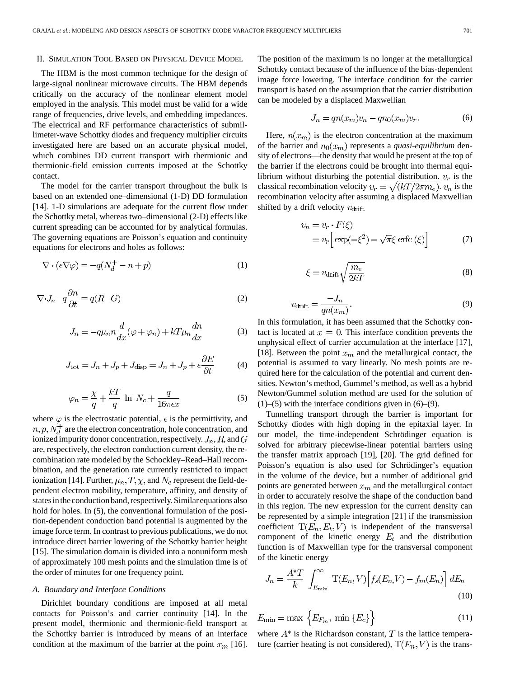#### II. SIMULATION TOOL BASED ON PHYSICAL DEVICE MODEL

The HBM is the most common technique for the design of large-signal nonlinear microwave circuits. The HBM depends critically on the accuracy of the nonlinear element model employed in the analysis. This model must be valid for a wide range of frequencies, drive levels, and embedding impedances. The electrical and RF performance characteristics of submillimeter-wave Schottky diodes and frequency multiplier circuits investigated here are based on an accurate physical model, which combines DD current transport with thermionic and thermionic-field emission currents imposed at the Schottky contact.

The model for the carrier transport throughout the bulk is based on an extended one–dimensional (1-D) DD formulation [\[14](#page-10-0)]. 1-D simulations are adequate for the current flow under the Schottky metal, whereas two–dimensional (2-D) effects like current spreading can be accounted for by analytical formulas. The governing equations are Poisson's equation and continuity equations for electrons and holes as follows:

$$
\nabla \cdot (\epsilon \nabla \varphi) = -q(N_d^+ - n + p) \tag{1}
$$

$$
\nabla \cdot J_n - q \frac{\partial n}{\partial t} = q(R - G) \tag{2}
$$

$$
J_n = -q\mu_n n \frac{d}{dx}(\varphi + \varphi_n) + kT\mu_n \frac{dn}{dx}
$$
 (3)

$$
J_{\text{tot}} = J_n + J_p + J_{\text{disp}} = J_n + J_p + \epsilon \frac{\partial E}{\partial t}
$$
 (4)

$$
\varphi_n = \frac{\chi}{q} + \frac{kT}{q} \ln N_c + \frac{q}{16\pi\epsilon x} \tag{5}
$$

where  $\varphi$  is the electrostatic potential,  $\epsilon$  is the permittivity, and  $n, p, N_d^+$  are the electron concentration, hole concentration, and ionized impurity donor concentration, respectively.  $J_n, R$ , and G are, respectively, the electron conduction current density, the recombination rate modeled by the Schockley–Read–Hall recombination, and the generation rate currently restricted to impact ionization [\[14](#page-10-0)]. Further,  $\mu_n, T, \chi$ , and  $N_c$  represent the field-dependent electron mobility, temperature, affinity, and density of states in the conduction band, respectively. Similar equations also hold for holes. In (5), the conventional formulation of the position-dependent conduction band potential is augmented by the image force term. In contrast to previous publications, we do not introduce direct barrier lowering of the Schottky barrier height [\[15](#page-10-0)]. The simulation domain is divided into a nonuniform mesh of approximately 100 mesh points and the simulation time is of the order of minutes for one frequency point.

#### *A. Boundary and Interface Conditions*

Dirichlet boundary conditions are imposed at all metal contacts for Poisson's and carrier continuity [[14\]](#page-10-0). In the present model, thermionic and thermionic-field transport at the Schottky barrier is introduced by means of an interface condition at the maximum of the barrier at the point  $x_m$  [\[16](#page-10-0)]. The position of the maximum is no longer at the metallurgical Schottky contact because of the influence of the bias-dependent image force lowering. The interface condition for the carrier transport is based on the assumption that the carrier distribution can be modeled by a displaced Maxwellian

$$
J_n = qn(x_m)v_n - qn_0(x_m)v_r.
$$
 (6)

Here,  $n(x_m)$  is the electron concentration at the maximum of the barrier and  $n_0(x_m)$  represents a *quasi-equilibrium* density of electrons—the density that would be present at the top of the barrier if the electrons could be brought into thermal equilibrium without disturbing the potential distribution.  $v_r$  is the classical recombination velocity  $v_r = \sqrt{kT/2\pi m_e}$ .  $v_n$  is the recombination velocity after assuming a displaced Maxwellian shifted by a drift velocity  $v_{\text{drift}}$ 

$$
v_n = v_r \cdot F(\xi)
$$
  
=  $v_r \left[ \exp(-\xi^2) - \sqrt{\pi} \xi \operatorname{erfc}(\xi) \right]$  (7)

$$
\xi = v_{\text{drift}} \sqrt{\frac{m_e}{2kT}}
$$
\n(8)

$$
v_{\text{drift}} = \frac{-J_n}{qn(x_m)}.\tag{9}
$$

In this formulation, it has been assumed that the Schottky contact is located at  $x = 0$ . This interface condition prevents the unphysical effect of carrier accumulation at the interface [\[17](#page-10-0)], [\[18](#page-10-0)]. Between the point  $x_m$  and the metallurgical contact, the potential is assumed to vary linearly. No mesh points are required here for the calculation of the potential and current densities. Newton's method, Gummel's method, as well as a hybrid Newton/Gummel solution method are used for the solution of  $(1)$ –(5) with the interface conditions given in (6)–(9).

Tunnelling transport through the barrier is important for Schottky diodes with high doping in the epitaxial layer. In our model, the time-independent Schrödinger equation is solved for arbitrary piecewise-linear potential barriers using the transfer matrix approach [\[19](#page-11-0)], [\[20](#page-11-0)]. The grid defined for Poisson's equation is also used for Schrödinger's equation in the volume of the device, but a number of additional grid points are generated between  $x_m$  and the metallurgical contact in order to accurately resolve the shape of the conduction band in this region. The new expression for the current density can be represented by a simple integration [\[21](#page-11-0)] if the transmission coefficient  $T(E_n, E_t, V)$  is independent of the transversal component of the kinetic energy  $E_t$  and the distribution function is of Maxwellian type for the transversal component of the kinetic energy

$$
J_n = \frac{A^*T}{k} \int_{E_{\text{min}}}^{\infty} \mathcal{T}(E_n, V) \Big[ f_s(E_n, V) - f_m(E_n) \Big] dE_n
$$
\n(10)

$$
E_{\min} = \max \left\{ E_{F_m}, \min \left\{ E_c \right\} \right\} \tag{11}
$$

where  $A^*$  is the Richardson constant,  $T$  is the lattice temperature (carrier heating is not considered),  $T(E_n, V)$  is the trans-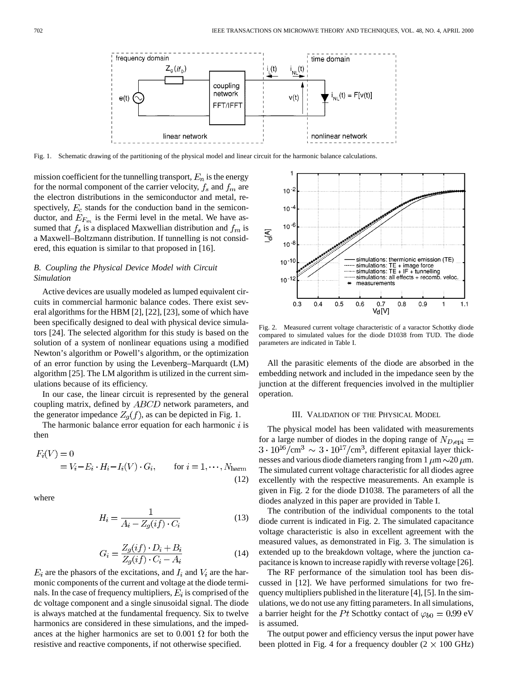

Fig. 1. Schematic drawing of the partitioning of the physical model and linear circuit for the harmonic balance calculations.

mission coefficient for the tunnelling transport,  $E_n$  is the energy for the normal component of the carrier velocity,  $f_s$  and  $f_m$  are the electron distributions in the semiconductor and metal, respectively,  $E_c$  stands for the conduction band in the semiconductor, and  $E_{F_m}$  is the Fermi level in the metal. We have assumed that  $f_s$  is a displaced Maxwellian distribution and  $f_m$  is a Maxwell–Boltzmann distribution. If tunnelling is not considered, this equation is similar to that proposed in [[16\]](#page-10-0).

# *B. Coupling the Physical Device Model with Circuit Simulation*

Active devices are usually modeled as lumped equivalent circuits in commercial harmonic balance codes. There exist several algorithms for the HBM [\[2](#page-10-0)], [\[22](#page-11-0)], [[23\]](#page-11-0), some of which have been specifically designed to deal with physical device simulators [[24\]](#page-11-0). The selected algorithm for this study is based on the solution of a system of nonlinear equations using a modified Newton's algorithm or Powell's algorithm, or the optimization of an error function by using the Levenberg–Marquardt (LM) algorithm [[25\]](#page-11-0). The LM algorithm is utilized in the current simulations because of its efficiency.

In our case, the linear circuit is represented by the general coupling matrix, defined by  $ABCD$  network parameters, and the generator impedance  $Z_q(f)$ , as can be depicted in Fig. 1.

The harmonic balance error equation for each harmonic  $i$  is then

$$
F_i(V) = 0
$$
  
=  $V_i - E_i \cdot H_i - I_i(V) \cdot G_i$ , for  $i = 1, \dots, N_{\text{harm}}$  (12)

where

$$
H_i = \frac{1}{A_i - Z_g(if) \cdot C_i} \tag{13}
$$

$$
G_i = \frac{Z_g(if) \cdot D_i + B_i}{Z_g(if) \cdot C_i - A_i}
$$
\n(14)

 $E_i$  are the phasors of the excitations, and  $I_i$  and  $V_i$  are the harmonic components of the current and voltage at the diode terminals. In the case of frequency multipliers,  $E_i$  is comprised of the dc voltage component and a single sinusoidal signal. The diode is always matched at the fundamental frequency. Six to twelve harmonics are considered in these simulations, and the impedances at the higher harmonics are set to 0.001  $\Omega$  for both the resistive and reactive components, if not otherwise specified.



Fig. 2. Measured current voltage characteristic of a varactor Schottky diode compared to simulated values for the diode D1038 from TUD. The diode parameters are indicated in Table I.

All the parasitic elements of the diode are absorbed in the embedding network and included in the impedance seen by the junction at the different frequencies involved in the multiplier operation.

## III. VALIDATION OF THE PHYSICAL MODEL

The physical model has been validated with measurements for a large number of diodes in the doping range of  $N_{D,\text{epi}} =$  $3 \cdot 10^{16}$ /cm<sup>3</sup> ~  $3 \cdot 10^{17}$ /cm<sup>3</sup>, different epitaxial layer thicknesses and various diode diameters ranging from 1  $\mu$ m  $\sim$ 20  $\mu$ m. The simulated current voltage characteristic for all diodes agree excellently with the respective measurements. An example is given in Fig. 2 for the diode D1038. The parameters of all the diodes analyzed in this paper are provided in Table I.

The contribution of the individual components to the total diode current is indicated in Fig. 2. The simulated capacitance voltage characteristic is also in excellent agreement with the measured values, as demonstrated in Fig. 3. The simulation is extended up to the breakdown voltage, where the junction capacitance is known to increase rapidly with reverse voltage [[26\]](#page-11-0).

The RF performance of the simulation tool has been discussed in [[12\]](#page-10-0). We have performed simulations for two frequency multipliers published in the literature [\[4](#page-10-0)], [\[5](#page-10-0)]. In the simulations, we do not use any fitting parameters. In all simulations, a barrier height for the Pt Schottky contact of  $\varphi_{b0} = 0.99$  eV is assumed.

The output power and efficiency versus the input power have been plotted in Fig. 4 for a frequency doubler  $(2 \times 100 \text{ GHz})$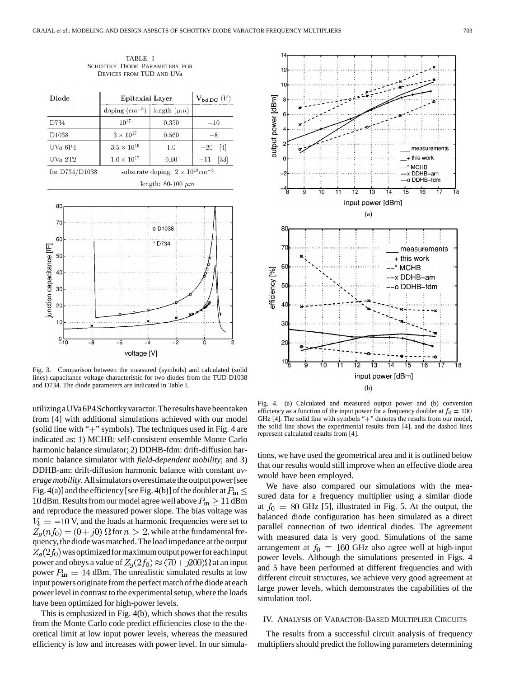$V_{bd,DC}$   $(V)$ 



TABLE I SCHOTTKY DIODE PARAMETERS FOR DEVICES FROM TUD AND UVa

doping  $(cm^{-3})$ 

**Epitaxial Layer** 

length  $(\mu m)$ 

Diode

Fig. 3. Comparison between the measured (symbols) and calculated (solid lines) capacitance voltage characteristic for two diodes from the TUD D1038 and D734. The diode parameters are indicated in Table I.

utilizingaUVa6P4Schottkyvaractor.Theresultshavebeentaken from [\[4](#page-10-0)] with additional simulations achieved with our model (solid line with " $+$ " symbols). The techniques used in Fig. 4 are indicated as: 1) MCHB: self-consistent ensemble Monte Carlo harmonic balance simulator; 2) DDHB-fdm: drift-diffusion harmonic balance simulator with *field-dependent mobility*; and 3) DDHB-am: drift-diffusion harmonic balance with constant *averagemobility*. All simulators overestimate the output power [see Fig. 4(a)] and the efficiency [see Fig. 4(b)] of the doubler at  $P_{\text{in}} \leq$ 10 dBm. Results from our model agree well above  $P_{\text{in}} \geq 11$  dBm and reproduce the measured power slope. The bias voltage was  $V_b = -10$  V, and the loads at harmonic frequencies were set to  $Z_g(n f_0) = (0 + j0) \Omega$  for  $n > 2$ , while at the fundamental frequency, the diode was matched. The load impedance at the output  $Z_q(2f_0)$  was optimized for maximum output power for each input power and obeys a value of  $Z_q(2f_0) \approx (70 + j200) \Omega$  at an input power  $P_{\text{in}} = 14$  dBm. The unrealistic simulated results at low input powers originate from the perfect match of the diode at each power level in contrast to the experimental setup, where the loads have been optimized for high-power levels.

This is emphasized in Fig. 4(b), which shows that the results from the Monte Carlo code predict efficiencies close to the theoretical limit at low input power levels, whereas the measured efficiency is low and increases with power level. In our simula-



Fig. 4. (a) Calculated and measured output power and (b) conversion efficiency as a function of the input power for a frequency doubler at  $f_0 = 100$ GHz  $[4]$  $[4]$ . The solid line with symbols "+" denotes the results from our model, the solid line shows the experimental results from [[4\]](#page-10-0), and the dashed lines represent calculated results from [[4\]](#page-10-0).

tions, we have used the geometrical area and it is outlined below that our results would still improve when an effective diode area would have been employed.

We have also compared our simulations with the measured data for a frequency multiplier using a similar diode at  $f_0 = 80$  GHz [\[5](#page-10-0)], illustrated in Fig. 5. At the output, the balanced diode configuration has been simulated as a direct parallel connection of two identical diodes. The agreement with measured data is very good. Simulations of the same arrangement at  $f_0 = 160$  GHz also agree well at high-input power levels. Although the simulations presented in Figs. 4 and 5 have been performed at different frequencies and with different circuit structures, we achieve very good agreement at large power levels, which demonstrates the capabilities of the simulation tool.

### IV. ANALYSIS OF VARACTOR-BASED MULTIPLIER CIRCUITS

The results from a successful circuit analysis of frequency multipliers should predict the following parameters determining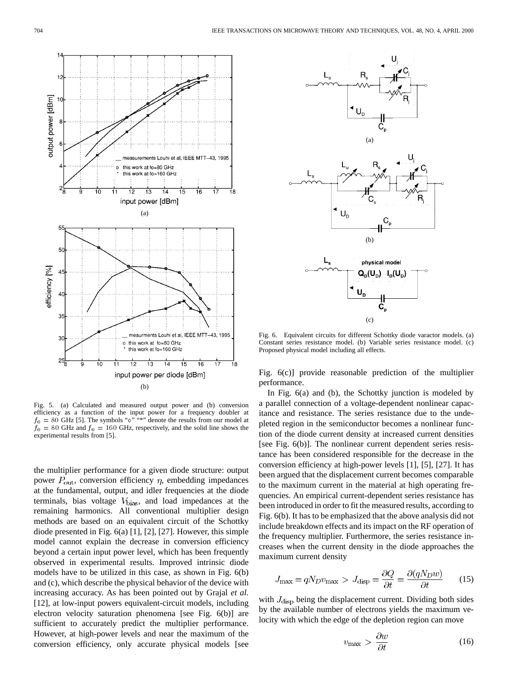

Fig. 5. (a) Calculated and measured output power and (b) conversion efficiency as a function of the input power for a frequency doubler at  $f_0 = 80$  GHz [\[5](#page-10-0)]. The symbols "o" "\*" denote the results from our model at  $f_0 = 80$  GHz and  $f_0 = 160$  GHz, respectively, and the solid line shows the experimental results from [[5\]](#page-10-0).

the multiplier performance for a given diode structure: output power  $P_{\text{out}}$ , conversion efficiency  $\eta$ , embedding impedances at the fundamental, output, and idler frequencies at the diode terminals, bias voltage  $V_{bias}$ , and load impedances at the remaining harmonics. All conventional multiplier design methods are based on an equivalent circuit of the Schottky diode presented in Fig. 6(a) [\[1](#page-10-0)], [[2\]](#page-10-0), [\[27](#page-11-0)]. However, this simple model cannot explain the decrease in conversion efficiency beyond a certain input power level, which has been frequently observed in experimental results. Improved intrinsic diode models have to be utilized in this case, as shown in Fig. 6(b) and (c), which describe the physical behavior of the device with increasing accuracy. As has been pointed out by Grajal *et al.* [[12\]](#page-10-0), at low-input powers equivalent-circuit models, including electron velocity saturation phenomena [see Fig. 6(b)] are sufficient to accurately predict the multiplier performance. However, at high-power levels and near the maximum of the conversion efficiency, only accurate physical models [see



Fig. 6. Equivalent circuits for different Schottky diode varactor models. (a) Constant series resistance model. (b) Variable series resistance model. (c) Proposed physical model including all effects.

Fig. 6(c)] provide reasonable prediction of the multiplier performance.

In Fig. 6(a) and (b), the Schottky junction is modeled by a parallel connection of a voltage-dependent nonlinear capacitance and resistance. The series resistance due to the undepleted region in the semiconductor becomes a nonlinear function of the diode current density at increased current densities [see Fig. 6(b)]. The nonlinear current dependent series resistance has been considered responsible for the decrease in the conversion efficiency at high-power levels [[1\]](#page-10-0), [[5\]](#page-10-0), [[27\]](#page-11-0). It has been argued that the displacement current becomes comparable to the maximum current in the material at high operating frequencies. An empirical current-dependent series resistance has been introduced in order to fit the measured results, according to Fig. 6(b). It has to be emphasized that the above analysis did not include breakdown effects and its impact on the RF operation of the frequency multiplier. Furthermore, the series resistance increases when the current density in the diode approaches the maximum current density

$$
J_{\text{max}} = qN_D v_{\text{max}} > J_{\text{disp}} = \frac{\partial Q}{\partial t} = \frac{\partial (qN_D w)}{\partial t}
$$
 (15)

with  $J_{\text{disp}}$  being the displacement current. Dividing both sides by the available number of electrons yields the maximum velocity with which the edge of the depletion region can move

$$
v_{\text{max}} > \frac{\partial w}{\partial t} \tag{16}
$$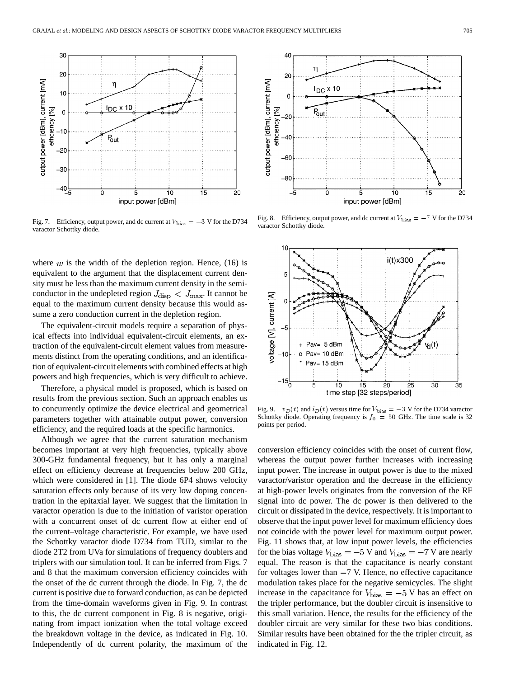

varactor Schottky diode.

where  $w$  is the width of the depletion region. Hence, (16) is equivalent to the argument that the displacement current density must be less than the maximum current density in the semiconductor in the undepleted region  $J_{\text{disp}} < J_{\text{max}}$ . It cannot be equal to the maximum current density because this would assume a zero conduction current in the depletion region.

The equivalent-circuit models require a separation of physical effects into individual equivalent-circuit elements, an extraction of the equivalent-circuit element values from measurements distinct from the operating conditions, and an identification of equivalent-circuit elements with combined effects at high powers and high frequencies, which is very difficult to achieve.

Therefore, a physical model is proposed, which is based on results from the previous section. Such an approach enables us to concurrently optimize the device electrical and geometrical parameters together with attainable output power, conversion efficiency, and the required loads at the specific harmonics.

Although we agree that the current saturation mechanism becomes important at very high frequencies, typically above 300-GHz fundamental frequency, but it has only a marginal effect on efficiency decrease at frequencies below 200 GHz, which were considered in [[1\]](#page-10-0). The diode 6P4 shows velocity saturation effects only because of its very low doping concentration in the epitaxial layer. We suggest that the limitation in varactor operation is due to the initiation of varistor operation with a concurrent onset of dc current flow at either end of the current–voltage characteristic. For example, we have used the Schottky varactor diode D734 from TUD, similar to the diode 2T2 from UVa for simulations of frequency doublers and triplers with our simulation tool. It can be inferred from Figs. 7 and 8 that the maximum conversion efficiency coincides with the onset of the dc current through the diode. In Fig. 7, the dc current is positive due to forward conduction, as can be depicted from the time-domain waveforms given in Fig. 9. In contrast to this, the dc current component in Fig. 8 is negative, originating from impact ionization when the total voltage exceed the breakdown voltage in the device, as indicated in Fig. 10. Independently of dc current polarity, the maximum of the



varactor Schottky diode.



Schottky diode. Operating frequency is  $f_0 = 50$  GHz. The time scale is 32 points per period.

conversion efficiency coincides with the onset of current flow, whereas the output power further increases with increasing input power. The increase in output power is due to the mixed varactor/varistor operation and the decrease in the efficiency at high-power levels originates from the conversion of the RF signal into dc power. The dc power is then delivered to the circuit or dissipated in the device, respectively. It is important to observe that the input power level for maximum efficiency does not coincide with the power level for maximum output power. Fig. 11 shows that, at low input power levels, the efficiencies for the bias voltage  $V_{bias} = -5$  V and  $V_{bias} = -7$  V are nearly equal. The reason is that the capacitance is nearly constant for voltages lower than  $-7$  V. Hence, no effective capacitance modulation takes place for the negative semicycles. The slight increase in the capacitance for  $V_{bias} = -5$  V has an effect on the tripler performance, but the doubler circuit is insensitive to this small variation. Hence, the results for the efficiency of the doubler circuit are very similar for these two bias conditions. Similar results have been obtained for the the tripler circuit, as indicated in Fig. 12.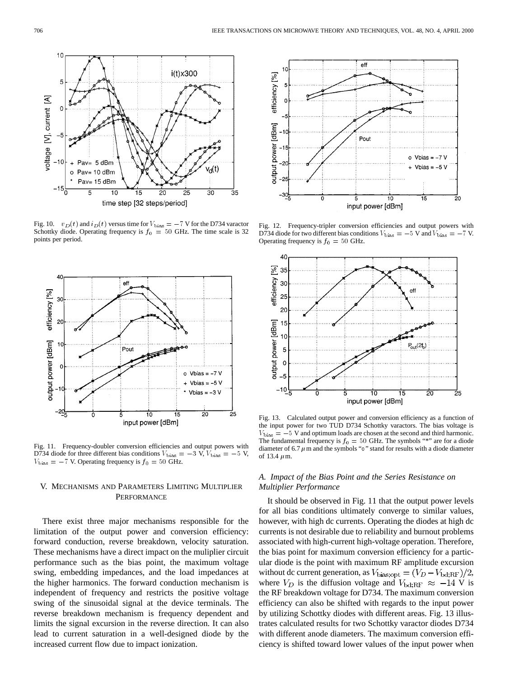

Schottky diode. Operating frequency is  $f_0 = 50$  GHz. The time scale is 32 points per period.



Fig. 11. Frequency-doubler conversion efficiencies and output powers with Fig. 11. Frequency-doubler conversion efficiencies and output powers with D734 diode for three different bias conditions  $V_{bias} = -3$  V,  $V_{bias} = -5$  V, D734 diode for three different bias conditions  $V_{bias} = -3$  V,  $V_{bias} = -5$  V,  $V_{bias} = -7$  V. Operating frequency is  $f_0 = 50$  GHz.

# V. MECHANISMS AND PARAMETERS LIMITING MULTIPLIER **PERFORMANCE**

There exist three major mechanisms responsible for the limitation of the output power and conversion efficiency: forward conduction, reverse breakdown, velocity saturation. These mechanisms have a direct impact on the muliplier circuit performance such as the bias point, the maximum voltage swing, embedding impedances, and the load impedances at the higher harmonics. The forward conduction mechanism is independent of frequency and restricts the positive voltage swing of the sinusoidal signal at the device terminals. The reverse breakdown mechanism is frequency dependent and limits the signal excursion in the reverse direction. It can also lead to current saturation in a well-designed diode by the increased current flow due to impact ionization.



Fig. 12. Frequency-tripler conversion efficiencies and output powers with mpat power [dom]<br>Fig. 12. Frequency-tripler conversion efficiencies and output powers with<br>D734 diode for two different bias conditions  $V_{\text{bias}} = -5$  V and  $V_{\text{bias}} = -7$  V. Operating frequency is  $f_0 = 50$  GHz.

![](_page_6_Figure_9.jpeg)

Fig. 13. Calculated output power and conversion efficiency as a function of the input power for two TUD D734 Schottky varactors. The bias voltage is Fig. 13. Calculated output power and conversion efficiency as a function of the input power for two TUD D734 Schottky varactors. The bias voltage is  $V_{\text{bias}} = -5$  V and optimum loads are chosen at the second and third harm The fundamental frequency is  $f_0 = 50$  GHz. The symbols "\*" are for a diode diameter of 6.7  $\mu$ m and the symbols " $\circ$ " stand for results with a diode diameter of 13.4  $\mu$ m.

# *A. Impact of the Bias Point and the Series Resistance on Multiplier Performance*

It should be observed in Fig. 11 that the output power levels for all bias conditions ultimately converge to similar values, however, with high dc currents. Operating the diodes at high dc currents is not desirable due to reliability and burnout problems associated with high-current high-voltage operation. Therefore, the bias point for maximum conversion efficiency for a particular diode is the point with maximum RF amplitude excursion without dc current generation, as  $V_{\text{bias,opt}} = (V_D - V_{\text{bd;RF}})/2$ , where  $V_D$  is the diffusion voltage and  $V_{\text{bd;RF}} \approx -14$  V is the RF breakdown voltage for D734. The maximum conversion efficiency can also be shifted with regards to the input power by utilizing Schottky diodes with different areas. Fig. 13 illustrates calculated results for two Schottky varactor diodes D734 with different anode diameters. The maximum conversion efficiency is shifted toward lower values of the input power when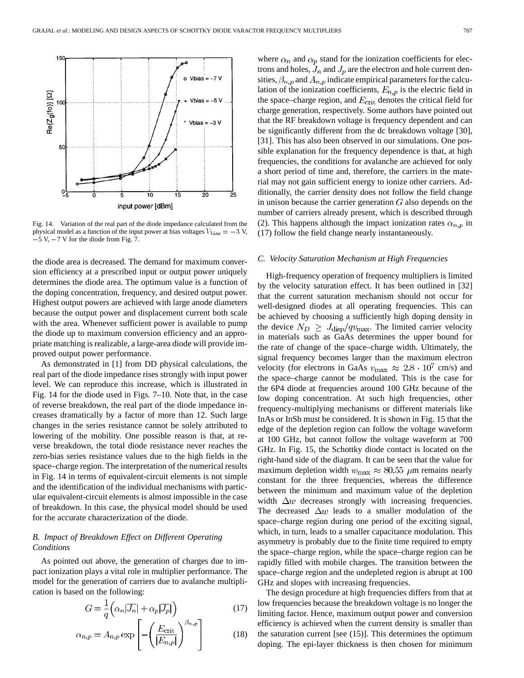![](_page_7_Figure_1.jpeg)

Fig. 14. Variation of the real part of the diode impedance calculated from the  $-5$  V,  $-7$  V for the diode from Fig. 7.

the diode area is decreased. The demand for maximum conversion efficiency at a prescribed input or output power uniquely determines the diode area. The optimum value is a function of the doping concentration, frequency, and desired output power. Highest output powers are achieved with large anode diameters because the output power and displacement current both scale with the area. Whenever sufficient power is available to pump the diode up to maximum conversion efficiency and an appropriate matching is realizable, a large-area diode will provide improved output power performance.

As demonstrated in [\[1](#page-10-0)] from DD physical calculations, the real part of the diode impedance rises strongly with input power level. We can reproduce this increase, which is illustrated in Fig. 14 for the diode used in Figs. 7–10. Note that, in the case of reverse breakdown, the real part of the diode impedance increases dramatically by a factor of more than 12. Such large changes in the series resistance cannot be solely attributed to lowering of the mobility. One possible reason is that, at reverse breakdown, the total diode resistance never reaches the zero-bias series resistance values due to the high fields in the space–charge region. The interpretation of the numerical results in Fig. 14 in terms of equivalent-circuit elements is not simple and the identification of the individual mechanisms with particular equivalent-circuit elements is almost impossible in the case of breakdown. In this case, the physical model should be used for the accurate characterization of the diode.

# *B. Impact of Breakdown Effect on Different Operating Conditions*

As pointed out above, the generation of charges due to impact ionization plays a vital role in multiplier performance. The model for the generation of carriers due to avalanche multiplication is based on the following:

$$
G = \frac{1}{q} \left( \alpha_n |\overline{J_n}| + \alpha_p |\overline{J_p}| \right) \tag{17}
$$

$$
\alpha_{n,p} = A_{n,p} \exp\left[-\left(\frac{E_{\text{crit}}}{|E_{n,p}|}\right)^{\beta_{n,p}}\right] \tag{18}
$$

where  $\alpha_n$  and  $\alpha_p$  stand for the ionization coefficients for electrons and holes,  $J_n$  and  $J_p$  are the electron and hole current densities,  $\beta_{n,p}$  and  $A_{n,p}$  indicate empirical parameters for the calculation of the ionization coefficients,  $E_{n,p}$  is the electric field in the space–charge region, and  $E_{\text{crit}}$  denotes the critical field for charge generation, respectively. Some authors have pointed out that the RF breakdown voltage is frequency dependent and can be significantly different from the dc breakdown voltage [\[30](#page-11-0)], [\[31](#page-11-0)]. This has also been observed in our simulations. One possible explanation for the frequency dependence is that, at high frequencies, the conditions for avalanche are achieved for only a short period of time and, therefore, the carriers in the material may not gain sufficient energy to ionize other carriers. Additionally, the carrier density does not follow the field change in unison because the carrier generation  $G$  also depends on the number of carriers already present, which is described through (2). This happens although the impact ionization rates  $\alpha_{n,p}$  in (17) follow the field change nearly instantaneously.

## *C. Velocity Saturation Mechanism at High Frequencies*

High-frequency operation of frequency multipliers is limited by the velocity saturation effect. It has been outlined in [[32\]](#page-11-0) that the current saturation mechanism should not occur for well-designed diodes at all operating frequencies. This can be achieved by choosing a sufficiently high doping density in the device  $N_D \geq J_{\text{disp}}/qv_{\text{max}}$ . The limited carrier velocity in materials such as GaAs determines the upper bound for the rate of change of the space–charge width. Ultimately, the signal frequency becomes larger than the maximum electron velocity (for electrons in GaAs  $v_{\text{max}} \approx 2.8 \cdot 10^7 \text{ cm/s}$ ) and the space–charge cannot be modulated. This is the case for the 6P4 diode at frequencies around 100 GHz because of the low doping concentration. At such high frequencies, other frequency-multiplying mechanisms or different materials like InAs or InSb must be considered. It is shown in Fig. 15 that the edge of the depletion region can follow the voltage waveform at 100 GHz, but cannot follow the voltage waveform at 700 GHz. In Fig. 15, the Schottky diode contact is located on the right-hand side of the diagram. It can be seen that the value for maximum depletion width  $w_{\rm max} \approx 80.55 \ \mu$ m remains nearly constant for the three frequencies, whereas the difference between the minimum and maximum value of the depletion width  $\Delta w$  decreases strongly with increasing frequencies. The decreased  $\Delta w$  leads to a smaller modulation of the space–charge region during one period of the exciting signal, which, in turn, leads to a smaller capacitance modulation. This asymmetry is probably due to the finite time required to empty the space–charge region, while the space–charge region can be rapidly filled with mobile charges. The transition between the space–charge region and the undepleted region is abrupt at 100 GHz and slopes with increasing frequencies.

The design procedure at high frequencies differs from that at low frequencies because the breakdown voltage is no longer the limiting factor. Hence, maximum output power and conversion efficiency is achieved when the current density is smaller than the saturation current [see (15)]. This determines the optimum doping. The epi-layer thickness is then chosen for minimum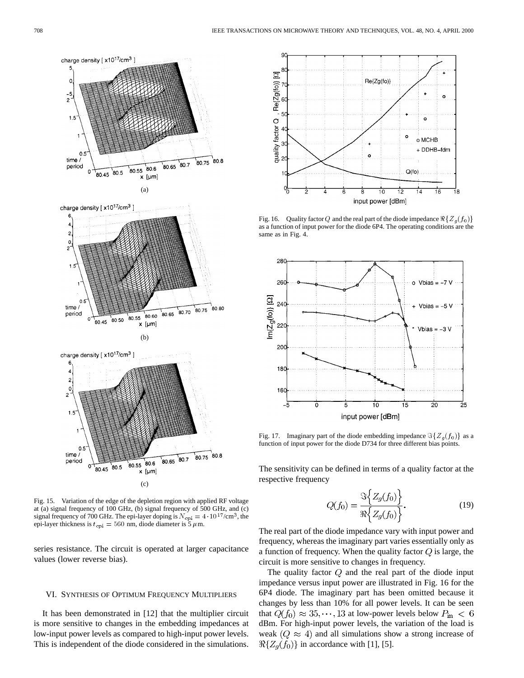![](_page_8_Figure_1.jpeg)

![](_page_8_Figure_2.jpeg)

Fig. 15. Variation of the edge of the depletion region with applied RF voltage at (a) signal frequency of 100 GHz, (b) signal frequency of 500 GHz, and (c) signal frequency of 700 GHz. The epi-layer doping is  $N_{\rm{epi}} = 4 \cdot 10^{17} / \rm{cm}^3$ , the epi-layer thickness is  $t_{\rm epi} = 560$  nm, diode diameter is 5  $\mu$ m.

series resistance. The circuit is operated at larger capacitance values (lower reverse bias).

## VI. SYNTHESIS OF OPTIMUM FREQUENCY MULTIPLIERS

It has been demonstrated in [[12\]](#page-10-0) that the multiplier circuit is more sensitive to changes in the embedding impedances at low-input power levels as compared to high-input power levels. This is independent of the diode considered in the simulations.

![](_page_8_Figure_7.jpeg)

Fig. 16. Quality factor Q and the real part of the diode impedance  $\Re\{Z_g(f_0)\}\$ as a function of input power for the diode 6P4. The operating conditions are the same as in Fig. 4.

![](_page_8_Figure_9.jpeg)

Fig. 17. Imaginary part of the diode embedding impedance  $\Im\{Z_g(f_0)\}\$ as a function of input power for the diode D734 for three different bias points.

The sensitivity can be defined in terms of a quality factor at the respective frequency

$$
Q(f_0) = \frac{\Im\left\{Z_g(f_0)\right\}}{\Re\left\{Z_g(f_0)\right\}}.\tag{19}
$$

The real part of the diode impedance vary with input power and frequency, whereas the imaginary part varies essentially only as a function of frequency. When the quality factor  $Q$  is large, the circuit is more sensitive to changes in frequency.

The quality factor  $Q$  and the real part of the diode input impedance versus input power are illustrated in Fig. 16 for the 6P4 diode. The imaginary part has been omitted because it changes by less than 10% for all power levels. It can be seen that  $Q(f_0) \approx 35, \dots, 13$  at low-power levels below  $P_{\text{in}} < 6$ dBm. For high-input power levels, the variation of the load is weak  $(Q \approx 4)$  and all simulations show a strong increase of  $\Re\{Z_g(f_0)\}\$ in accordance with [[1\]](#page-10-0), [[5\]](#page-10-0).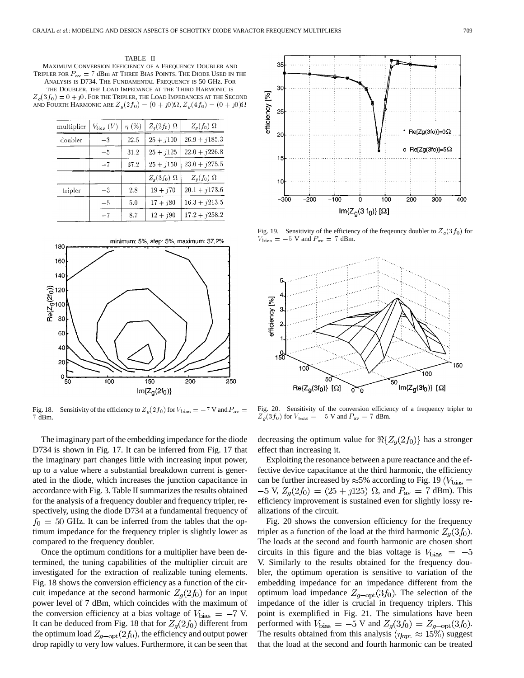TABLE II MAXIMUM CONVERSION EFFICIENCY OF A FREQUENCY DOUBLER AND TRIPLER FOR  $P_{\text{av}} = 7$  dBm at Three BIAS POINTS. The DIODE USED IN THE ANALYSIS IS D734. THE FUNDAMENTAL FREQUENCY IS 50 GHz. FOR THE DOUBLER, THE LOAD IMPEDANCE AT THE THIRD HARMONIC IS  $Z_g(3f_0) = 0 + j0$ . FOR THE TRIPLER, THE LOAD IMPEDANCES AT THE SECOND and Fourth Harmonic are  ${Z_g(2f_0)=(0+j0)\Omega},$   ${Z_g(4f_0)=(0+j0)\Omega}$ 

| multiplier | $V_{bias}\ (V)$ | $\eta$ (%) | $Z_q(2f_0)$ $\Omega$ | $Z_g(f_0)$ $\Omega$ |
|------------|-----------------|------------|----------------------|---------------------|
| doubler    | $-3$            | 22.5       | $25 + j100$          | $26.9 + i185.3$     |
|            | $-5$            | 31.2       | $25 + i125$          | $22.0 + i226.8$     |
|            | $-7$            | 37.2       | $25 + j150$          | $23.0 + j275.5$     |
|            |                 |            | $Z_g(3f_0)$ $\Omega$ | $Z_g(f_0)$ $\Omega$ |
| tripler    | $-3$            | 2.8        | $19 + j70$           | $20.1 + j173.6$     |
|            | $-5$            | 5.0        | $17 + j80$           | $16.3 + j213.5$     |
|            | $-7$            | 8.7        | $12 + j90$           | $17.2 + j258.2$     |

![](_page_9_Figure_3.jpeg)

7 dBm.

The imaginary part of the embedding impedance for the diode D734 is shown in Fig. 17. It can be inferred from Fig. 17 that the imaginary part changes little with increasing input power, up to a value where a substantial breakdown current is generated in the diode, which increases the junction capacitance in accordance with Fig. 3. Table II summarizes the results obtained for the analysis of a frequency doubler and frequency tripler, respectively, using the diode D734 at a fundamental frequency of  $f_0 = 50$  GHz. It can be inferred from the tables that the optimum impedance for the frequency tripler is slightly lower as compared to the frequency doubler.

Once the optimum conditions for a multiplier have been determined, the tuning capabilities of the multiplier circuit are investigated for the extraction of realizable tuning elements. Fig. 18 shows the conversion efficiency as a function of the circuit impedance at the second harmonic  $Z_q(2f_0)$  for an input power level of 7 dBm, which coincides with the maximum of the conversion efficiency at a bias voltage of  $V_{\text{bias}} = -7$  V. It can be deduced from Fig. 18 that for  $Z_g(2f_0)$  different from the optimum load  $Z_{g-\text{opt}}(2f_0)$ , the efficiency and output power drop rapidly to very low values. Furthermore, it can be seen that

![](_page_9_Figure_7.jpeg)

Fig. 19. Sensitivity of the efficiency of the freqeuncy doubler to  $Z_g(3f_0)$  for Fig. 19. Sensitivity of the efficient<br>V<sub>bias</sub> = -5 V and  $P_{\text{av}}$  = 7 dBm.

![](_page_9_Figure_9.jpeg)

Fig. 20. Sensitivity of the conversion efficiency of a frequency tripler to Fig. 20. Sensitivity of the conversion efficiently  $Z_g(3f_0)$  for  $V_{bias} = -5$  V and  $P_{av} = 7$  dBm.

decreasing the optimum value for  $\Re\{Z_q(2f_0)\}\$  has a stronger effect than increasing it.

Exploiting the resonance between a pure reactance and the effective device capacitance at the third harmonic, the efficiency can be further increased by  $\approx$  5% according to Fig. 19 ( $V_{\text{bias}}$  =  $-5$  V,  $Z_g(2f_0) = (25 + j125)$   $\Omega$ , and  $P_{av} = 7$  dBm). This efficiency improvement is sustained even for slightly lossy realizations of the circuit.

Fig. 20 shows the conversion efficiency for the frequency tripler as a function of the load at the third harmonic  $Z_q(3f_0)$ . The loads at the second and fourth harmonic are chosen short circuits in this figure and the bias voltage is  $V_{\text{bias}} = -5$ V. Similarly to the results obtained for the frequency doubler, the optimum operation is sensitive to variation of the embedding impedance for an impedance different from the optimum load impedance  $Z_{g-\text{opt}}(3f_0)$ . The selection of the impedance of the idler is crucial in frequency triplers. This point is exemplified in Fig. 21. The simulations have been performed with  $V_{bias} = -5$  V and  $Z_g(3f_0) = Z_{g-opt}(3f_0)$ . The results obtained from this analysis ( $\eta_{\text{opt}} \approx 15\%$ ) suggest that the load at the second and fourth harmonic can be treated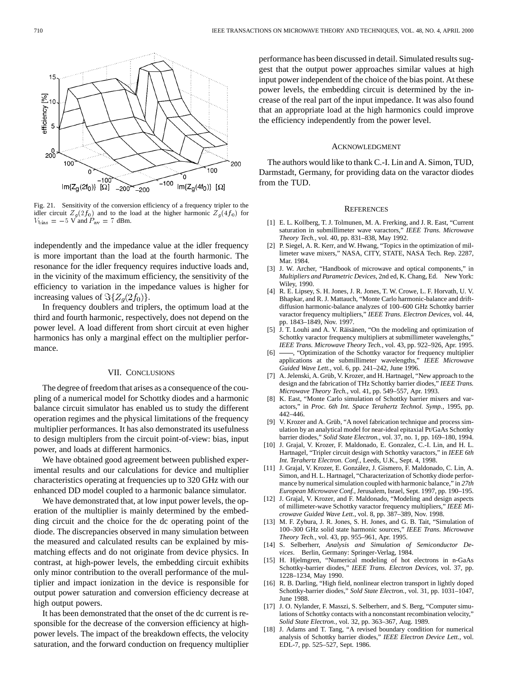<span id="page-10-0"></span>![](_page_10_Figure_1.jpeg)

Fig. 21. Sensitivity of the conversion efficiency of a frequency tripler to the idler circuit  $Z_g(2f_0)$  and to the load at the higher harmonic  $Z_g(4f_0)$  for Fig. 21. Sensitivity of the convers<br>idler circuit  $Z_g(2f_0)$  and to the 1<br> $V_{bias} = -5$  V and  $P_{av} = 7$  dBm.

independently and the impedance value at the idler frequency is more important than the load at the fourth harmonic. The resonance for the idler frequency requires inductive loads and, in the vicinity of the maximum efficiency, the sensitivity of the efficiency to variation in the impedance values is higher for increasing values of  $\Im\{Z_q(2f_0)\}.$ 

In frequency doublers and triplers, the optimum load at the third and fourth harmonic, respectively, does not depend on the power level. A load different from short circuit at even higher harmonics has only a marginal effect on the multiplier performance.

## VII. CONCLUSIONS

The degree of freedom that arises as a consequence of the coupling of a numerical model for Schottky diodes and a harmonic balance circuit simulator has enabled us to study the different operation regimes and the physical limitations of the frequency multiplier performances. It has also demonstrated its usefulness to design multiplers from the circuit point-of-view: bias, input power, and loads at different harmonics.

We have obtained good agreement between published experimental results and our calculations for device and multiplier characteristics operating at frequencies up to 320 GHz with our enhanced DD model coupled to a harmonic balance simulator.

We have demonstrated that, at low input power levels, the operation of the multiplier is mainly determined by the embedding circuit and the choice for the dc operating point of the diode. The discrepancies observed in many simulation between the measured and calculated results can be explained by mismatching effects and do not originate from device physics. In contrast, at high-power levels, the embedding circuit exhibits only minor contribution to the overall performance of the multiplier and impact ionization in the device is responsible for output power saturation and conversion efficiency decrease at high output powers.

It has been demonstrated that the onset of the dc current is responsible for the decrease of the conversion efficiency at highpower levels. The impact of the breakdown effects, the velocity saturation, and the forward conduction on frequency multiplier performance has been discussed in detail. Simulated results suggest that the output power approaches similar values at high input power independent of the choice of the bias point. At these power levels, the embedding circuit is determined by the increase of the real part of the input impedance. It was also found that an appropriate load at the high harmonics could improve the efficiency independently from the power level.

#### ACKNOWLEDGMENT

The authors would like to thank C.-I. Lin and A. Simon, TUD, Darmstadt, Germany, for providing data on the varactor diodes from the TUD.

#### **REFERENCES**

- [1] E. L. Kollberg, T. J. Tolmunen, M. A. Frerking, and J. R. East, "Current saturation in submillimeter wave varactors," *IEEE Trans. Microwave Theory Tech.*, vol. 40, pp. 831–838, May 1992.
- [2] P. Siegel, A. R. Kerr, and W. Hwang, "Topics in the optimization of millimeter wave mixers," NASA, CITY, STATE, NASA Tech. Rep. 2287, Mar. 1984.
- [3] J. W. Archer, "Handbook of microwave and optical components," in *Multipliers and Parametric Devices*, 2nd ed, K. Chang, Ed. New York: Wiley, 1990.
- [4] R. E. Lipsey, S. H. Jones, J. R. Jones, T. W. Crowe, L. F. Horvath, U. V. Bhapkar, and R. J. Mattauch, "Monte Carlo harmonic-balance and driftdiffusion harmonic-balance analyzes of 100–600 GHz Schottky barrier varactor frequency multipliers," *IEEE Trans. Electron Devices*, vol. 44, pp. 1843–1849, Nov. 1997.
- [5] J. T. Louhi and A. V. Räisänen, "On the modeling and optimization of Schottky varactor frequency multipliers at submillimeter wavelengths," *IEEE Trans. Microwave Theory Tech.*, vol. 43, pp. 922–926, Apr. 1995.
- [6]  $\rightarrow$  "Optimization of the Schottky varactor for frequency multiplier applications at the submillimeter wavelengths," *IEEE Microwave Guided Wave Lett.*, vol. 6, pp. 241–242, June 1996.
- [7] A. Jelenski, A. Grüb, V. Krozer, and H. Hartnagel, "New approach to the design and the fabrication of THz Schottky barrier diodes," *IEEE Trans. Microwave Theory Tech.*, vol. 41, pp. 549–557, Apr. 1993.
- [8] K. East, "Monte Carlo simulation of Schottky barrier mixers and varactors," in *Proc. 6th Int. Space Terahertz Technol. Symp.*, 1995, pp. 442–446.
- [9] V. Krozer and A. Grüb, "A novel fabrication technique and process simulation by an analytical model for near-ideal epitaxial Pt/GaAs Schottky barrier diodes," *Solid State Electron.*, vol. 37, no. 1, pp. 169–180, 1994.
- [10] J. Grajal, V. Krozer, F. Maldonado, E. Gonzalez, C.-I. Lin, and H. L. Hartnagel, "Tripler circuit design with Schottky varactors," in *IEEE 6th Int. Terahertz Electron. Conf.*, Leeds, U.K., Sept. 4, 1998.
- [11] J. Grajal, V. Krozer, E. González, J. Gismero, F. Maldonado, C. Lin, A. Simon, and H. L. Hartnagel, "Characterization of Schottky diode performance by numerical simulation coupled with harmonic balance," in *27th European Microwave Conf.*, Jerusalem, Israel, Sept. 1997, pp. 190–195.
- [12] J. Grajal, V. Krozer, and F. Maldonado, "Modeling and design aspects of millimeter-wave Schottky varactor frequency multipliers," *IEEE Microwave Guided Wave Lett.*, vol. 8, pp. 387–389, Nov. 1998.
- [13] M. F. Zybura, J. R. Jones, S. H. Jones, and G. B. Tait, "Simulation of 100–300 GHz solid state harmonic sources," *IEEE Trans. Microwave Theory Tech.*, vol. 43, pp. 955–961, Apr. 1995.
- [14] S. Selberherr, *Analysis and Simulation of Semiconductor Devices*. Berlin, Germany: Springer-Verlag, 1984.
- [15] H. Hjelmgren, "Numerical modeling of hot electrons in n-GaAs Schottky-barrier diodes," *IEEE Trans. Electron Devices*, vol. 37, pp. 1228–1234, May 1990.
- [16] R. B. Darling, "High field, nonlinear electron transport in lightly doped Schottky-barrier diodes," *Sold State Electron.*, vol. 31, pp. 1031–1047, June 1988.
- [17] J. O. Nylander, F. Masszi, S. Selberherr, and S. Berg, "Computer simulations of Schottky contacts with a nonconstant recombination velocity," *Solid State Electron.*, vol. 32, pp. 363–367, Aug. 1989.
- [18] J. Adams and T. Tang, "A revised boundary condition for numerical analysis of Schottky barrier diodes," *IEEE Electron Device Lett.*, vol. EDL-7, pp. 525–527, Sept. 1986.